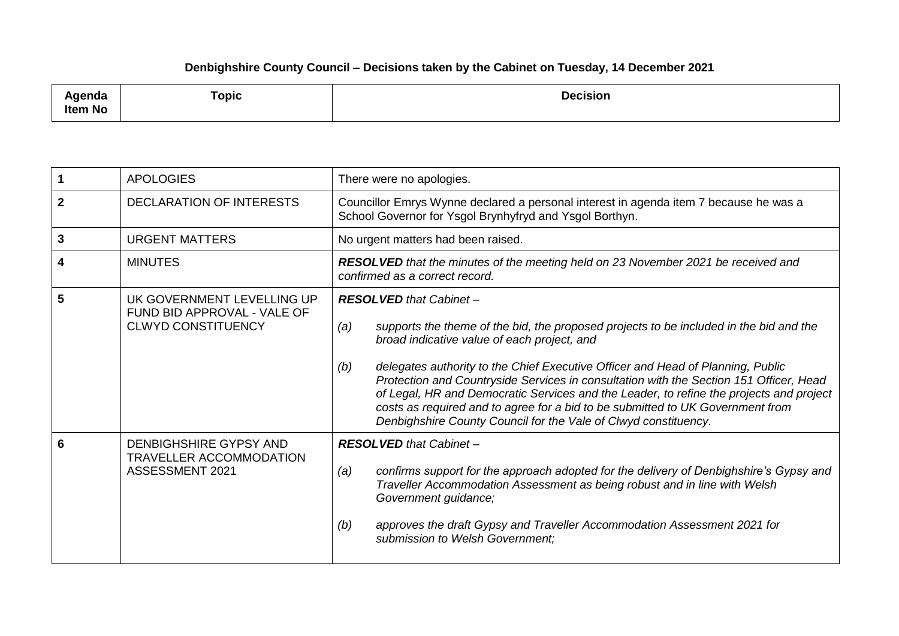## **Denbighshire County Council – Decisions taken by the Cabinet on Tuesday, 14 December 2021**

| ملتمين<br>ngenaa<br><b>Item No</b> | <b>Topic</b> | <b>Decision</b> |
|------------------------------------|--------------|-----------------|
|------------------------------------|--------------|-----------------|

|              | <b>APOLOGIES</b>                                                                       | There were no apologies.                                                                                                                                                                                                                                                                                                                                                                                                                                                                                                                                                                                           |
|--------------|----------------------------------------------------------------------------------------|--------------------------------------------------------------------------------------------------------------------------------------------------------------------------------------------------------------------------------------------------------------------------------------------------------------------------------------------------------------------------------------------------------------------------------------------------------------------------------------------------------------------------------------------------------------------------------------------------------------------|
| $\mathbf{2}$ | <b>DECLARATION OF INTERESTS</b>                                                        | Councillor Emrys Wynne declared a personal interest in agenda item 7 because he was a<br>School Governor for Ysgol Brynhyfryd and Ysgol Borthyn.                                                                                                                                                                                                                                                                                                                                                                                                                                                                   |
| 3            | <b>URGENT MATTERS</b>                                                                  | No urgent matters had been raised.                                                                                                                                                                                                                                                                                                                                                                                                                                                                                                                                                                                 |
|              | <b>MINUTES</b>                                                                         | RESOLVED that the minutes of the meeting held on 23 November 2021 be received and<br>confirmed as a correct record.                                                                                                                                                                                                                                                                                                                                                                                                                                                                                                |
| 5            | UK GOVERNMENT LEVELLING UP<br>FUND BID APPROVAL - VALE OF<br><b>CLWYD CONSTITUENCY</b> | <b>RESOLVED</b> that Cabinet -<br>supports the theme of the bid, the proposed projects to be included in the bid and the<br>(a)<br>broad indicative value of each project, and<br>delegates authority to the Chief Executive Officer and Head of Planning, Public<br>(b)<br>Protection and Countryside Services in consultation with the Section 151 Officer, Head<br>of Legal, HR and Democratic Services and the Leader, to refine the projects and project<br>costs as required and to agree for a bid to be submitted to UK Government from<br>Denbighshire County Council for the Vale of Clwyd constituency. |
| 6            | DENBIGHSHIRE GYPSY AND<br><b>TRAVELLER ACCOMMODATION</b><br>ASSESSMENT 2021            | <b>RESOLVED</b> that Cabinet -<br>confirms support for the approach adopted for the delivery of Denbighshire's Gypsy and<br>(a)<br>Traveller Accommodation Assessment as being robust and in line with Welsh<br>Government guidance;<br>approves the draft Gypsy and Traveller Accommodation Assessment 2021 for<br>(b)<br>submission to Welsh Government;                                                                                                                                                                                                                                                         |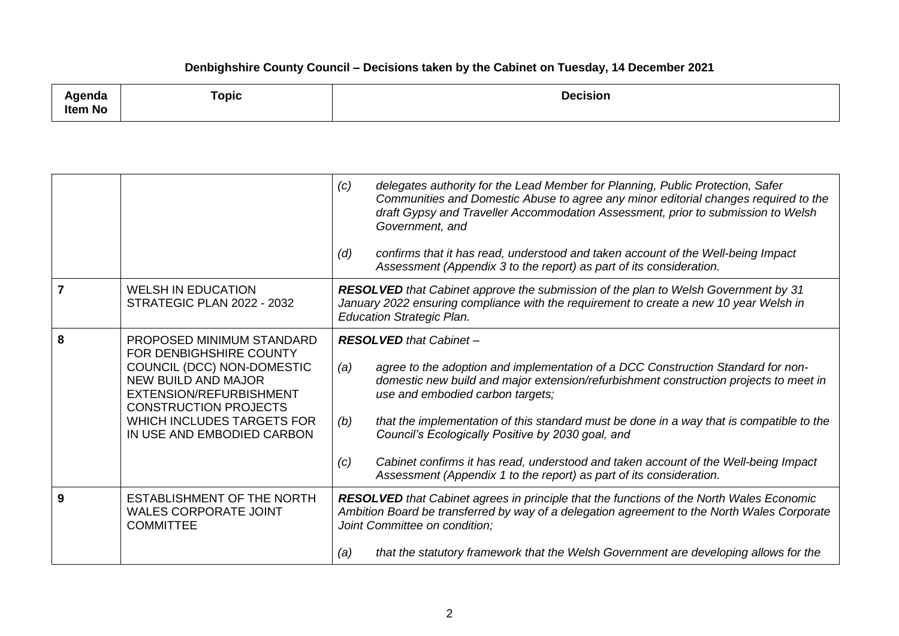## **Denbighshire County Council – Decisions taken by the Cabinet on Tuesday, 14 December 2021**

| .<br>uua<br><b>Item No</b> | ⊺opic | .<br><b>Decision</b> |
|----------------------------|-------|----------------------|
|                            |       |                      |

|                |                                                                                                                                                                                                                                         | delegates authority for the Lead Member for Planning, Public Protection, Safer<br>(c)<br>Communities and Domestic Abuse to agree any minor editorial changes required to the<br>draft Gypsy and Traveller Accommodation Assessment, prior to submission to Welsh<br>Government, and<br>confirms that it has read, understood and taken account of the Well-being Impact<br>(d)<br>Assessment (Appendix 3 to the report) as part of its consideration.                                                                                                                               |
|----------------|-----------------------------------------------------------------------------------------------------------------------------------------------------------------------------------------------------------------------------------------|-------------------------------------------------------------------------------------------------------------------------------------------------------------------------------------------------------------------------------------------------------------------------------------------------------------------------------------------------------------------------------------------------------------------------------------------------------------------------------------------------------------------------------------------------------------------------------------|
| $\overline{7}$ | <b>WELSH IN EDUCATION</b><br><b>STRATEGIC PLAN 2022 - 2032</b>                                                                                                                                                                          | RESOLVED that Cabinet approve the submission of the plan to Welsh Government by 31<br>January 2022 ensuring compliance with the requirement to create a new 10 year Welsh in<br><b>Education Strategic Plan.</b>                                                                                                                                                                                                                                                                                                                                                                    |
| 8              | PROPOSED MINIMUM STANDARD<br>FOR DENBIGHSHIRE COUNTY<br>COUNCIL (DCC) NON-DOMESTIC<br><b>NEW BUILD AND MAJOR</b><br>EXTENSION/REFURBISHMENT<br><b>CONSTRUCTION PROJECTS</b><br>WHICH INCLUDES TARGETS FOR<br>IN USE AND EMBODIED CARBON | <b>RESOLVED</b> that Cabinet -<br>agree to the adoption and implementation of a DCC Construction Standard for non-<br>(a)<br>domestic new build and major extension/refurbishment construction projects to meet in<br>use and embodied carbon targets;<br>that the implementation of this standard must be done in a way that is compatible to the<br>(b)<br>Council's Ecologically Positive by 2030 goal, and<br>Cabinet confirms it has read, understood and taken account of the Well-being Impact<br>(c)<br>Assessment (Appendix 1 to the report) as part of its consideration. |
| 9              | <b>ESTABLISHMENT OF THE NORTH</b><br><b>WALES CORPORATE JOINT</b><br><b>COMMITTEE</b>                                                                                                                                                   | RESOLVED that Cabinet agrees in principle that the functions of the North Wales Economic<br>Ambition Board be transferred by way of a delegation agreement to the North Wales Corporate<br>Joint Committee on condition;<br>that the statutory framework that the Welsh Government are developing allows for the<br>(a)                                                                                                                                                                                                                                                             |